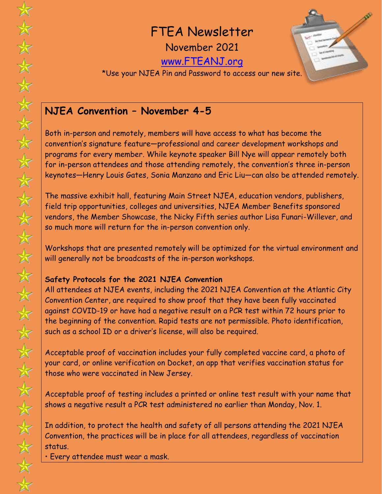FTEA Newsletter

November 2021

[www.FTEANJ.org](http://www.fteanj.org/)



\*Use your NJEA Pin and Password to access our new site.

## **NJEA Convention – November 4-5**

Both in-person and remotely, members will have access to what has become the convention's signature feature—professional and career development workshops and programs for every member. While keynote speaker Bill Nye will appear remotely both for in-person attendees and those attending remotely, the convention's three in-person keynotes—Henry Louis Gates, Sonia Manzano and Eric Liu—can also be attended remotely.

The massive exhibit hall, featuring Main Street NJEA, education vendors, publishers, field trip opportunities, colleges and universities, NJEA Member Benefits sponsored vendors, the Member Showcase, the Nicky Fifth series author Lisa Funari-Willever, and so much more will return for the in-person convention only.

Workshops that are presented remotely will be optimized for the virtual environment and will generally not be broadcasts of the in-person workshops.

### **Safety Protocols for the 2021 NJEA Convention**

All attendees at NJEA events, including the 2021 NJEA Convention at the Atlantic City Convention Center, are required to show proof that they have been fully vaccinated against COVID-19 or have had a negative result on a PCR test within 72 hours prior to the beginning of the convention. Rapid tests are not permissible. Photo identification, such as a school ID or a driver's license, will also be required.

Acceptable proof of vaccination includes your fully completed vaccine card, a photo of your card, or online verification on Docket, an app that verifies vaccination status for those who were vaccinated in New Jersey.

Acceptable proof of testing includes a printed or online test result with your name that shows a negative result a PCR test administered no earlier than Monday, Nov. 1.

In addition, to protect the health and safety of all persons attending the 2021 NJEA Convention, the practices will be in place for all attendees, regardless of vaccination status.

• Every attendee must wear a mask.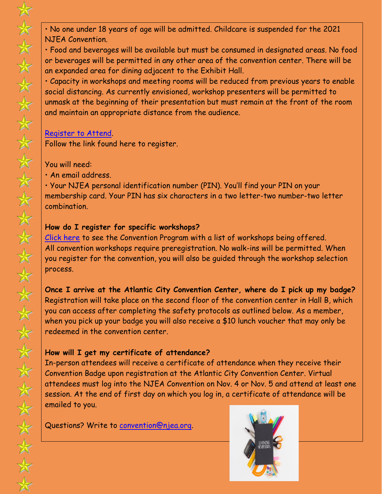• No one under 18 years of age will be admitted. Childcare is suspended for the 2021 NJEA Convention.

• Food and beverages will be available but must be consumed in designated areas. No food or beverages will be permitted in any other area of the convention center. There will be an expanded area for dining adjacent to the Exhibit Hall.

• Capacity in workshops and meeting rooms will be reduced from previous years to enable social distancing. As currently envisioned, workshop presenters will be permitted to unmask at the beginning of their presentation but must remain at the front of the room and maintain an appropriate distance from the audience.

#### [Register to Attend.](http://www.njeaconvention.org/)

Follow the link found here to register.

#### You will need:

• An email address.

• Your NJEA personal identification number (PIN). You'll find your PIN on your membership card. Your PIN has six characters in a two letter-two number-two letter combination.

#### **How do I register for specific workshops?**

[Click here](https://njeaconvention.njea.org/program/) to see the Convention Program with a list of workshops being offered. All convention workshops require preregistration. No walk-ins will be permitted. When you register for the convention, you will also be guided through the workshop selection process.

**Once I arrive at the Atlantic City Convention Center, where do I pick up my badge?**  Registration will take place on the second floor of the convention center in Hall B, which you can access after completing the safety protocols as outlined below. As a member, when you pick up your badge you will also receive a \$10 lunch voucher that may only be redeemed in the convention center.

### **How will I get my certificate of attendance?**

In-person attendees will receive a certificate of attendance when they receive their Convention Badge upon registration at the Atlantic City Convention Center. Virtual attendees must log into the NJEA Convention on Nov. 4 or Nov. 5 and attend at least one session. At the end of first day on which you log in, a certificate of attendance will be emailed to you.

Questions? Write to [convention@njea.org.](mailto:convention@njea.org)

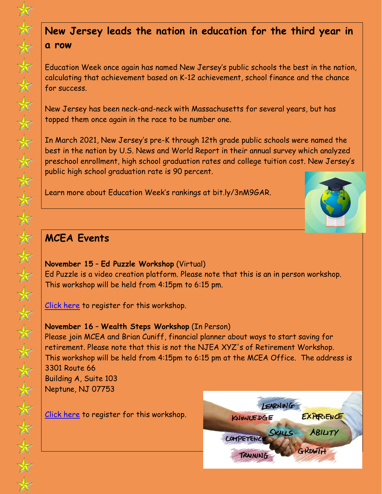# **New Jersey leads the nation in education for the third year in a row**

Education Week once again has named New Jersey's public schools the best in the nation, calculating that achievement based on K-12 achievement, school finance and the chance for success.

New Jersey has been neck-and-neck with Massachusetts for several years, but has topped them once again in the race to be number one.

In March 2021, New Jersey's pre-K through 12th grade public schools were named the best in the nation by U.S. News and World Report in their annual survey which analyzed preschool enrollment, high school graduation rates and college tuition cost. New Jersey's public high school graduation rate is 90 percent.

Learn more about Education Week's rankings at bit.ly/3nM9GAR.



# **MCEA Events**

**November 15** – **Ed Puzzle Workshop** (Virtual) Ed Puzzle is a video creation platform. Please note that this is an in person workshop. This workshop will be held from 4:15pm to 6:15 pm.

[Click here](https://www.eventbrite.com/e/ed-puzzle-workshop-tickets-170369375388) to register for this workshop.

### **November 16** – **Wealth Steps Workshop** (In Person)

Please join MCEA and Brian Cuniff, financial planner about ways to start saving for retirement. Please note that this is not the NJEA XYZ's of Retirement Workshop. This workshop will be held from 4:15pm to 6:15 pm at the MCEA Office. The address is 3301 Route 66 Building A, Suite 103

Neptune, NJ 07753

[Click here](https://www.eventbrite.com/e/wealth-steps-workshop-tickets-175662550417) to register for this workshop.

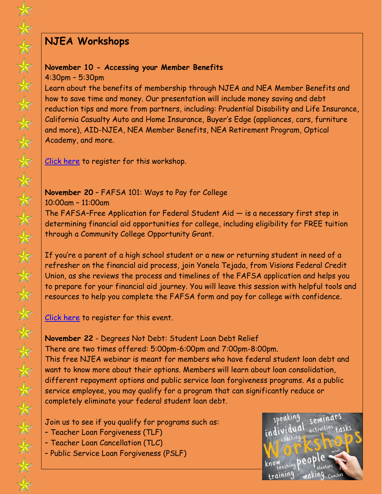# **NJEA Workshops**

### **November 10 - Accessing your Member Benefits**

4:30pm – 5:30pm

Learn about the benefits of membership through NJEA and NEA Member Benefits and how to save time and money. Our presentation will include money saving and debt reduction tips and more from partners, including: Prudential Disability and Life Insurance, California Casualty Auto and Home Insurance, Buyer's Edge (appliances, cars, furniture and more), AID-NJEA, NEA Member Benefits, NEA Retirement Program, Optical Academy, and more.

[Click here](https://memberbenefits.njea.org/event/accessing-your-member-benefits/) to register for this workshop.

### **November 20** – FAFSA 101: Ways to Pay for College

10:00am – 11:00am

The FAFSA–Free Application for Federal Student Aid — is a necessary first step in determining financial aid opportunities for college, including eligibility for FREE tuition through a Community College Opportunity Grant.

If you're a parent of a high school student or a new or returning student in need of a refresher on the financial aid process, join Yanela Tejada, from Visions Federal Credit Union, as she reviews the process and timelines of the FAFSA application and helps you to prepare for your financial aid journey. You will leave this session with helpful tools and resources to help you complete the FAFSA form and pay for college with confidence.

<u>Click here</u> to register for this event.

**November 22** - Degrees Not Debt: Student Loan Debt Relief There are two times offered: 5:00pm-6:00pm and 7:00pm-8:00pm. This free NJEA webinar is meant for members who have federal student loan debt and want to know more about their options. Members will learn about loan consolidation, different repayment options and public service loan forgiveness programs. As a public service employee, you may qualify for a program that can significantly reduce or completely eliminate your federal student loan debt.

Join us to see if you qualify for programs such as:

- Teacher Loan Forgiveness (TLF)
- Teacher Loan Cancellation (TLC)
- Public Service Loan Forgiveness (PSLF)